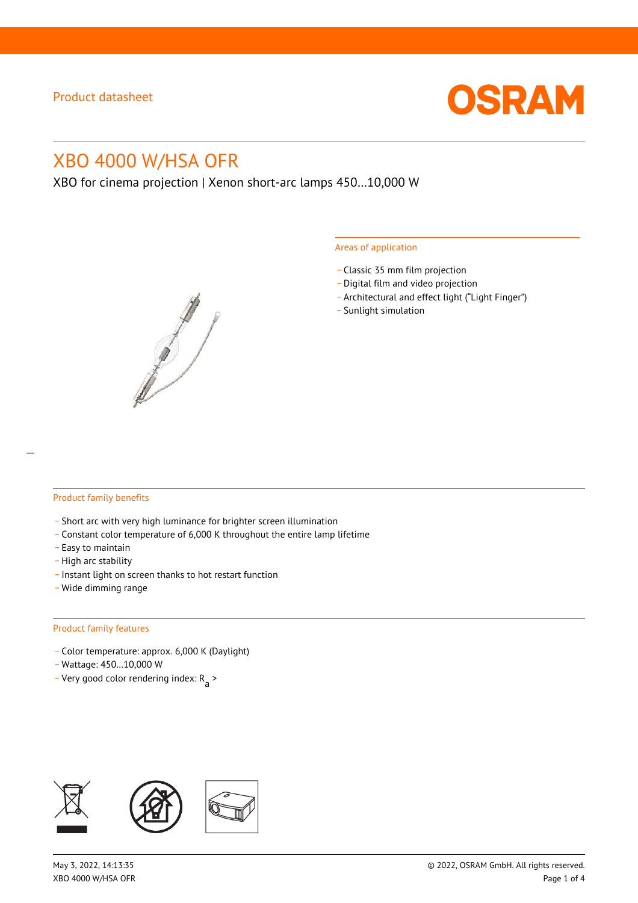

# XBO 4000 W/HSA OFR

XBO for cinema projection | Xenon short-arc lamps 450…10,000 W



#### Areas of application

- \_ Classic 35 mm film projection
- \_ Digital film and video projection
- \_ Architectural and effect light ("Light Finger")
- Sunlight simulation

#### Product family benefits

- \_ Short arc with very high luminance for brighter screen illumination
- \_ Constant color temperature of 6,000 K throughout the entire lamp lifetime
- \_ Easy to maintain
- High arc stability
- \_ Instant light on screen thanks to hot restart function
- \_ Wide dimming range

#### Product family features

- \_ Color temperature: approx. 6,000 K (Daylight)
- \_ Wattage: 450…10,000 W
- Very good color rendering index:  $R_{\text{a}}$  >

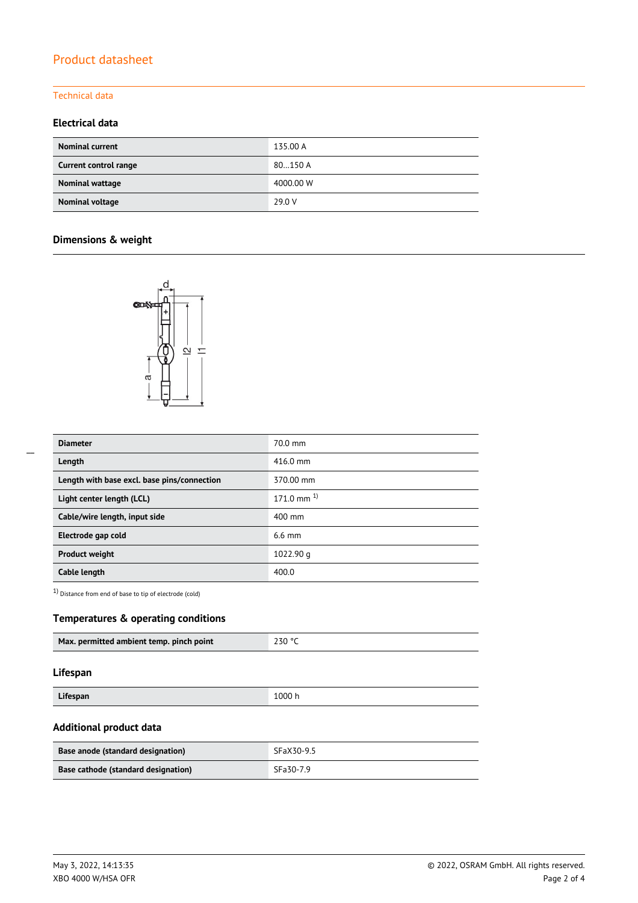# Product datasheet

### Technical data

### **Electrical data**

| <b>Nominal current</b> | 135.00 A  |
|------------------------|-----------|
| Current control range  | 80150 A   |
| Nominal wattage        | 4000.00 W |
| Nominal voltage        | 29.0 V    |

## **Dimensions & weight**



| <b>Diameter</b>                             | $70.0$ mm          |
|---------------------------------------------|--------------------|
| Length                                      | $416.0 \text{ mm}$ |
| Length with base excl. base pins/connection | 370.00 mm          |
| Light center length (LCL)                   | $171.0$ mm $^{1}$  |
| Cable/wire length, input side               | 400 mm             |
| Electrode gap cold                          | $6.6$ mm           |
| <b>Product weight</b>                       | 1022.90 g          |
| Cable length                                | 400.0              |

1) Distance from end of base to tip of electrode (cold)

### **Temperatures & operating conditions**

|--|

#### **Lifespan**

| Lifespan<br>1.000 h<br>----- |  |
|------------------------------|--|

### **Additional product data**

| Base anode (standard designation)   | SFaX30-9.5 |
|-------------------------------------|------------|
| Base cathode (standard designation) | SFa30-7.9  |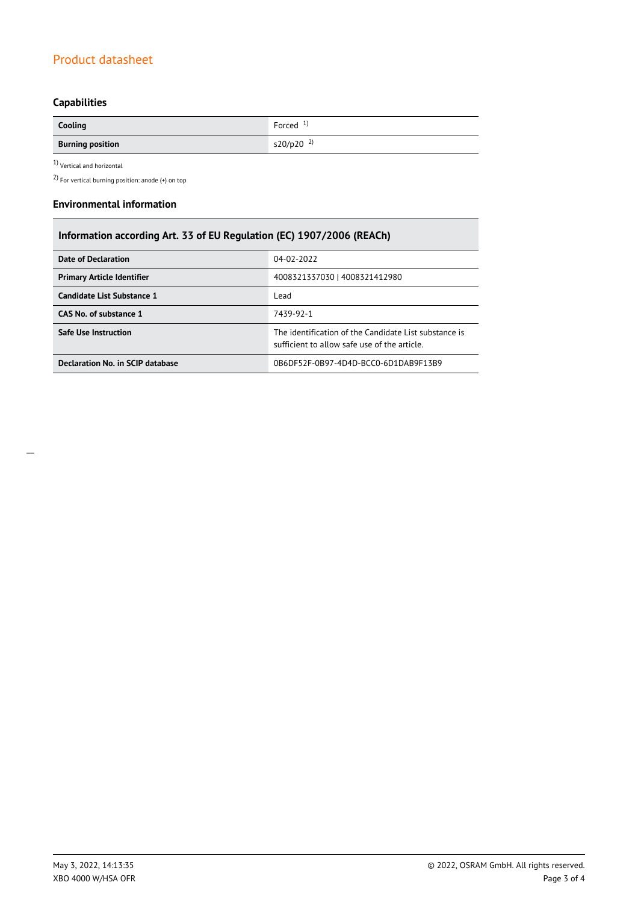# Product datasheet

# **Capabilities**

| Cooling                 | Forced $1$ )            |
|-------------------------|-------------------------|
| <b>Burning position</b> | $s20/p20$ <sup>2)</sup> |

1) Vertical and horizontal

2) For vertical burning position: anode (+) on top

#### **Environmental information**

| Information according Art. 33 of EU Regulation (EC) 1907/2006 (REACh) |                                                                                                      |  |
|-----------------------------------------------------------------------|------------------------------------------------------------------------------------------------------|--|
| <b>Date of Declaration</b>                                            | 04-02-2022                                                                                           |  |
| <b>Primary Article Identifier</b>                                     | 4008321337030   4008321412980                                                                        |  |
| Candidate List Substance 1                                            | Lead                                                                                                 |  |
| CAS No. of substance 1                                                | 7439-92-1                                                                                            |  |
| Safe Use Instruction                                                  | The identification of the Candidate List substance is<br>sufficient to allow safe use of the article |  |
| Declaration No. in SCIP database                                      | 0B6DE52F-0B97-4D4D-BCC0-6D1DAB9F13B9                                                                 |  |